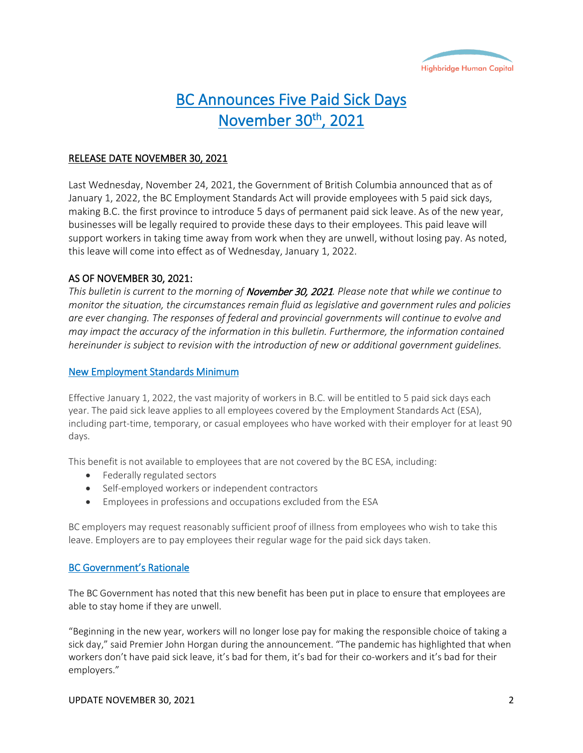

# BC Announces Five Paid Sick Days November 30<sup>th</sup>, 2021

## RELEASE DATE NOVEMBER 30, 2021

Last Wednesday, November 24, 2021, the Government of British Columbia announced that as of January 1, 2022, the BC Employment Standards Act will provide employees with 5 paid sick days, making B.C. the first province to introduce 5 days of permanent paid sick leave. As of the new year, businesses will be legally required to provide these days to their employees. This paid leave will support workers in taking time away from work when they are unwell, without losing pay. As noted, this leave will come into effect as of Wednesday, January 1, 2022.

## AS OF NOVEMBER 30, 2021:

*This bulletin is current to the morning of* November 30, 2021*. Please note that while we continue to monitor the situation, the circumstances remain fluid as legislative and government rules and policies are ever changing. The responses of federal and provincial governments will continue to evolve and may impact the accuracy of the information in this bulletin. Furthermore, the information contained hereinunder is subject to revision with the introduction of new or additional government guidelines.*

#### New Employment Standards Minimum

Effective January 1, 2022, the vast majority of workers in B.C. will be entitled to 5 paid sick days each year. The paid sick leave applies to all employees covered by the Employment Standards Act (ESA), including part-time, temporary, or casual employees who have worked with their employer for at least 90 days.

This benefit is not available to employees that are not covered by the BC ESA, including:

- Federally regulated sectors
- Self-employed workers or independent contractors
- Employees in professions and occupations excluded from the ESA

BC employers may request reasonably sufficient proof of illness from employees who wish to take this leave. Employers are to pay employees their regular wage for the paid sick days taken.

# BC Government's Rationale

The BC Government has noted that this new benefit has been put in place to ensure that employees are able to stay home if they are unwell.

"Beginning in the new year, workers will no longer lose pay for making the responsible choice of taking a sick day," said Premier John Horgan during the announcement. "The pandemic has highlighted that when workers don't have paid sick leave, it's bad for them, it's bad for their co-workers and it's bad for their employers."